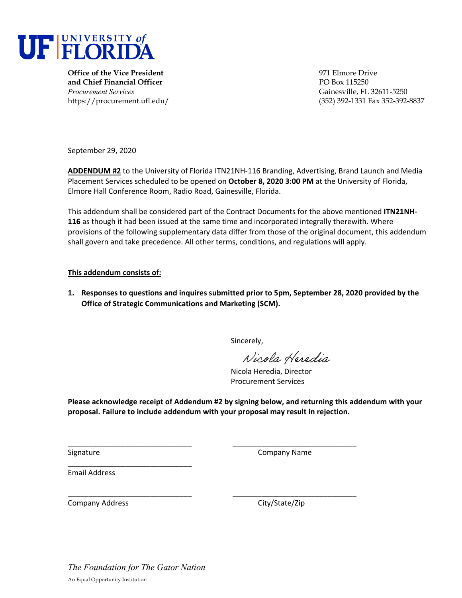

**Office of the Vice President** 971 Elmore Drive **and Chief Financial Officer** PO Box 115250 *Procurement Services* Gainesville, FL 32611-5250

https://procurement.ufl.edu/ (352) 392-1331 Fax 352-392-8837

September 29, 2020

**ADDENDUM #2** to the University of Florida ITN21NH‐116 Branding, Advertising, Brand Launch and Media Placement Services scheduled to be opened on **October 8, 2020 3:00 PM** at the University of Florida, Elmore Hall Conference Room, Radio Road, Gainesville, Florida.

This addendum shall be considered part of the Contract Documents for the above mentioned **ITN21NH‐ 116** as though it had been issued at the same time and incorporated integrally therewith. Where provisions of the following supplementary data differ from those of the original document, this addendum shall govern and take precedence. All other terms, conditions, and regulations will apply.

#### **This addendum consists of:**

**1. Responses to questions and inquires submitted prior to 5pm, September 28, 2020 provided by the Office of Strategic Communications and Marketing (SCM).** 

Sincerely,

Nicola Heredia

Nicola Heredia, Director Procurement Services

**Please acknowledge receipt of Addendum #2 by signing below, and returning this addendum with your proposal. Failure to include addendum with your proposal may result in rejection.**

\_\_\_\_\_\_\_\_\_\_\_\_\_\_\_\_\_\_\_\_\_\_\_\_\_\_\_\_\_\_ \_\_\_\_\_\_\_\_\_\_\_\_\_\_\_\_\_\_\_\_\_\_\_\_\_\_\_\_\_\_

Signature **Company Name** 

Email Address

Company Address City/State/Zip

\_\_\_\_\_\_\_\_\_\_\_\_\_\_\_\_\_\_\_\_\_\_\_\_\_\_\_\_\_\_ \_\_\_\_\_\_\_\_\_\_\_\_\_\_\_\_\_\_\_\_\_\_\_\_\_\_\_\_\_\_

*The Foundation for The Gator Nation*  An Equal Opportunity Institution

\_\_\_\_\_\_\_\_\_\_\_\_\_\_\_\_\_\_\_\_\_\_\_\_\_\_\_\_\_\_